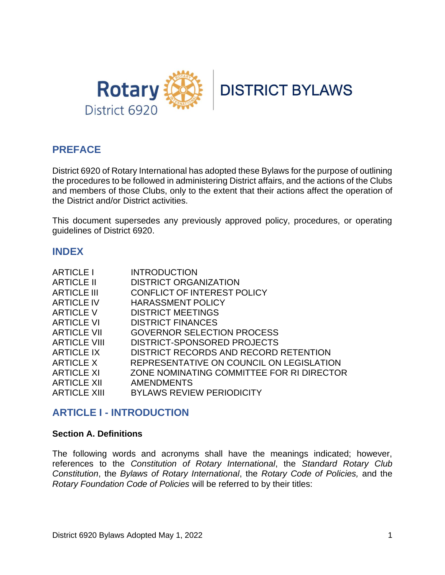



# **PREFACE**

District 6920 of Rotary International has adopted these Bylaws for the purpose of outlining the procedures to be followed in administering District affairs, and the actions of the Clubs and members of those Clubs, only to the extent that their actions affect the operation of the District and/or District activities.

This document supersedes any previously approved policy, procedures, or operating guidelines of District 6920.

## **INDEX**

| <b>ARTICLE I</b>    | <b>INTRODUCTION</b>                       |
|---------------------|-------------------------------------------|
| <b>ARTICLE II</b>   | <b>DISTRICT ORGANIZATION</b>              |
| <b>ARTICLE III</b>  | CONFLICT OF INTEREST POLICY               |
| <b>ARTICLE IV</b>   | <b>HARASSMENT POLICY</b>                  |
| <b>ARTICLE V</b>    | <b>DISTRICT MEETINGS</b>                  |
| <b>ARTICLE VI</b>   | <b>DISTRICT FINANCES</b>                  |
| <b>ARTICLE VII</b>  | <b>GOVERNOR SELECTION PROCESS</b>         |
| <b>ARTICLE VIII</b> | DISTRICT-SPONSORED PROJECTS               |
| <b>ARTICLE IX</b>   | DISTRICT RECORDS AND RECORD RETENTION     |
| <b>ARTICLE X</b>    | REPRESENTATIVE ON COUNCIL ON LEGISLATION  |
| <b>ARTICLE XI</b>   | ZONE NOMINATING COMMITTEE FOR RI DIRECTOR |
| <b>ARTICLE XII</b>  | <b>AMENDMENTS</b>                         |
| <b>ARTICLE XIII</b> | <b>BYLAWS REVIEW PERIODICITY</b>          |

## **ARTICLE I - INTRODUCTION**

#### **Section A. Definitions**

The following words and acronyms shall have the meanings indicated; however, references to the *Constitution of Rotary International*, the *Standard Rotary Club Constitution*, the *Bylaws of Rotary International*, the *Rotary Code of Policies,* and the *Rotary Foundation Code of Policies* will be referred to by their titles: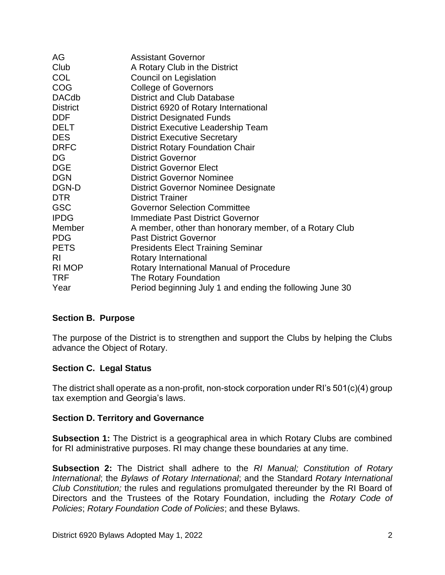| AG              | <b>Assistant Governor</b>                                |
|-----------------|----------------------------------------------------------|
| Club            | A Rotary Club in the District                            |
| <b>COL</b>      | Council on Legislation                                   |
| <b>COG</b>      | <b>College of Governors</b>                              |
| <b>DACdb</b>    | <b>District and Club Database</b>                        |
| <b>District</b> | District 6920 of Rotary International                    |
| <b>DDF</b>      | <b>District Designated Funds</b>                         |
| <b>DELT</b>     | District Executive Leadership Team                       |
| <b>DES</b>      | <b>District Executive Secretary</b>                      |
| <b>DRFC</b>     | <b>District Rotary Foundation Chair</b>                  |
| DG              | <b>District Governor</b>                                 |
| <b>DGE</b>      | <b>District Governor Elect</b>                           |
| <b>DGN</b>      | <b>District Governor Nominee</b>                         |
| DGN-D           | <b>District Governor Nominee Designate</b>               |
| DTR.            | <b>District Trainer</b>                                  |
| <b>GSC</b>      | <b>Governor Selection Committee</b>                      |
| <b>IPDG</b>     | <b>Immediate Past District Governor</b>                  |
| Member          | A member, other than honorary member, of a Rotary Club   |
| <b>PDG</b>      | <b>Past District Governor</b>                            |
| <b>PETS</b>     | Presidents Elect Training Seminar                        |
| RI.             | Rotary International                                     |
| RI MOP          | Rotary International Manual of Procedure                 |
| <b>TRF</b>      | The Rotary Foundation                                    |
| Year            | Period beginning July 1 and ending the following June 30 |

## **Section B. Purpose**

The purpose of the District is to strengthen and support the Clubs by helping the Clubs advance the Object of Rotary.

## **Section C. Legal Status**

The district shall operate as a non-profit, non-stock corporation under RI's 501(c)(4) group tax exemption and Georgia's laws.

## **Section D. Territory and Governance**

**Subsection 1:** The District is a geographical area in which Rotary Clubs are combined for RI administrative purposes. RI may change these boundaries at any time.

**Subsection 2:** The District shall adhere to the *RI Manual; Constitution of Rotary International*; the *Bylaws of Rotary International*; and the Standard *Rotary International Club Constitution;* the rules and regulations promulgated thereunder by the RI Board of Directors and the Trustees of the Rotary Foundation, including the *Rotary Code of Policies*; *Rotary Foundation Code of Policies*; and these Bylaws.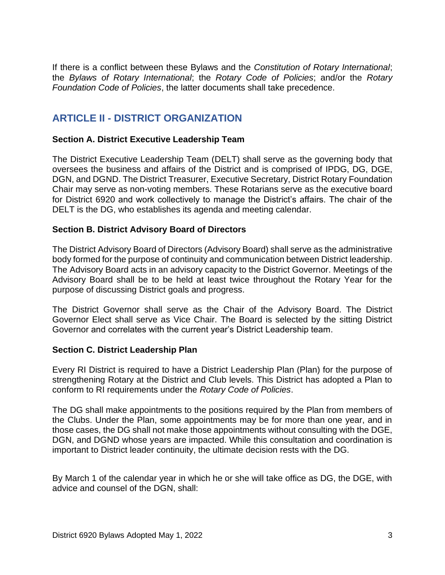If there is a conflict between these Bylaws and the *Constitution of Rotary International*; the *Bylaws of Rotary International*; the *Rotary Code of Policies*; and/or the *Rotary Foundation Code of Policies*, the latter documents shall take precedence.

# **ARTICLE II - DISTRICT ORGANIZATION**

## **Section A. District Executive Leadership Team**

The District Executive Leadership Team (DELT) shall serve as the governing body that oversees the business and affairs of the District and is comprised of IPDG, DG, DGE, DGN, and DGND. The District Treasurer, Executive Secretary, District Rotary Foundation Chair may serve as non-voting members. These Rotarians serve as the executive board for District 6920 and work collectively to manage the District's affairs. The chair of the DELT is the DG, who establishes its agenda and meeting calendar.

## **Section B. District Advisory Board of Directors**

The District Advisory Board of Directors (Advisory Board) shall serve as the administrative body formed for the purpose of continuity and communication between District leadership. The Advisory Board acts in an advisory capacity to the District Governor. Meetings of the Advisory Board shall be to be held at least twice throughout the Rotary Year for the purpose of discussing District goals and progress.

The District Governor shall serve as the Chair of the Advisory Board. The District Governor Elect shall serve as Vice Chair. The Board is selected by the sitting District Governor and correlates with the current year's District Leadership team.

## **Section C. District Leadership Plan**

Every RI District is required to have a District Leadership Plan (Plan) for the purpose of strengthening Rotary at the District and Club levels. This District has adopted a Plan to conform to RI requirements under the *Rotary Code of Policies*.

The DG shall make appointments to the positions required by the Plan from members of the Clubs. Under the Plan, some appointments may be for more than one year, and in those cases, the DG shall not make those appointments without consulting with the DGE, DGN, and DGND whose years are impacted. While this consultation and coordination is important to District leader continuity, the ultimate decision rests with the DG.

By March 1 of the calendar year in which he or she will take office as DG, the DGE, with advice and counsel of the DGN, shall: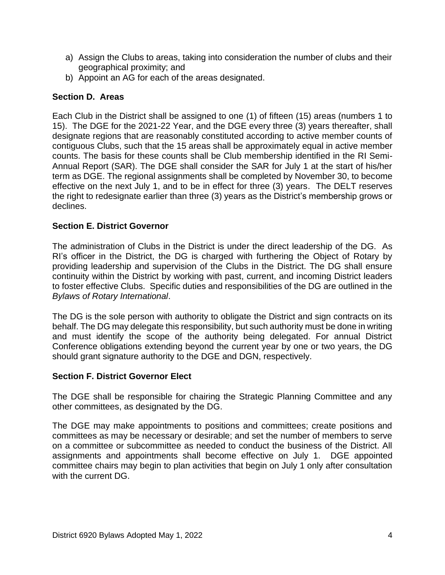- a) Assign the Clubs to areas, taking into consideration the number of clubs and their geographical proximity; and
- b) Appoint an AG for each of the areas designated.

## **Section D. Areas**

Each Club in the District shall be assigned to one (1) of fifteen (15) areas (numbers 1 to 15). The DGE for the 2021-22 Year, and the DGE every three (3) years thereafter, shall designate regions that are reasonably constituted according to active member counts of contiguous Clubs, such that the 15 areas shall be approximately equal in active member counts. The basis for these counts shall be Club membership identified in the RI Semi-Annual Report (SAR). The DGE shall consider the SAR for July 1 at the start of his/her term as DGE. The regional assignments shall be completed by November 30, to become effective on the next July 1, and to be in effect for three (3) years. The DELT reserves the right to redesignate earlier than three (3) years as the District's membership grows or declines.

## **Section E. District Governor**

The administration of Clubs in the District is under the direct leadership of the DG. As RI's officer in the District, the DG is charged with furthering the Object of Rotary by providing leadership and supervision of the Clubs in the District. The DG shall ensure continuity within the District by working with past, current, and incoming District leaders to foster effective Clubs. Specific duties and responsibilities of the DG are outlined in the *Bylaws of Rotary International*.

The DG is the sole person with authority to obligate the District and sign contracts on its behalf. The DG may delegate this responsibility, but such authority must be done in writing and must identify the scope of the authority being delegated. For annual District Conference obligations extending beyond the current year by one or two years, the DG should grant signature authority to the DGE and DGN, respectively.

## **Section F. District Governor Elect**

The DGE shall be responsible for chairing the Strategic Planning Committee and any other committees, as designated by the DG.

The DGE may make appointments to positions and committees; create positions and committees as may be necessary or desirable; and set the number of members to serve on a committee or subcommittee as needed to conduct the business of the District. All assignments and appointments shall become effective on July 1. DGE appointed committee chairs may begin to plan activities that begin on July 1 only after consultation with the current DG.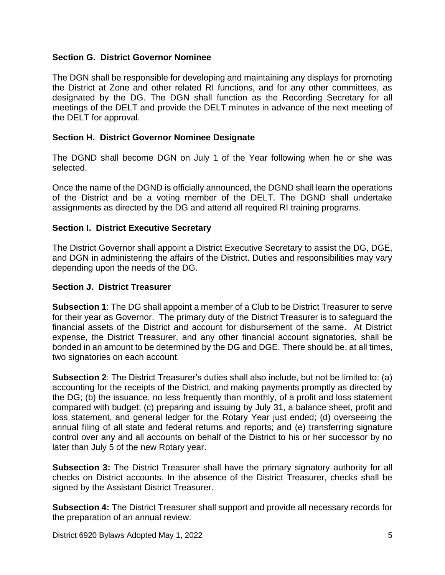## **Section G. District Governor Nominee**

The DGN shall be responsible for developing and maintaining any displays for promoting the District at Zone and other related RI functions, and for any other committees, as designated by the DG. The DGN shall function as the Recording Secretary for all meetings of the DELT and provide the DELT minutes in advance of the next meeting of the DELT for approval.

## **Section H. District Governor Nominee Designate**

The DGND shall become DGN on July 1 of the Year following when he or she was selected.

Once the name of the DGND is officially announced, the DGND shall learn the operations of the District and be a voting member of the DELT. The DGND shall undertake assignments as directed by the DG and attend all required RI training programs.

## **Section I. District Executive Secretary**

The District Governor shall appoint a District Executive Secretary to assist the DG, DGE, and DGN in administering the affairs of the District. Duties and responsibilities may vary depending upon the needs of the DG.

## **Section J. District Treasurer**

**Subsection 1**: The DG shall appoint a member of a Club to be District Treasurer to serve for their year as Governor. The primary duty of the District Treasurer is to safeguard the financial assets of the District and account for disbursement of the same. At District expense, the District Treasurer, and any other financial account signatories, shall be bonded in an amount to be determined by the DG and DGE. There should be, at all times, two signatories on each account.

**Subsection 2**: The District Treasurer's duties shall also include, but not be limited to: (a) accounting for the receipts of the District, and making payments promptly as directed by the DG; (b) the issuance, no less frequently than monthly, of a profit and loss statement compared with budget; (c) preparing and issuing by July 31, a balance sheet, profit and loss statement, and general ledger for the Rotary Year just ended; (d) overseeing the annual filing of all state and federal returns and reports; and (e) transferring signature control over any and all accounts on behalf of the District to his or her successor by no later than July 5 of the new Rotary year.

**Subsection 3:** The District Treasurer shall have the primary signatory authority for all checks on District accounts. In the absence of the District Treasurer, checks shall be signed by the Assistant District Treasurer.

**Subsection 4:** The District Treasurer shall support and provide all necessary records for the preparation of an annual review.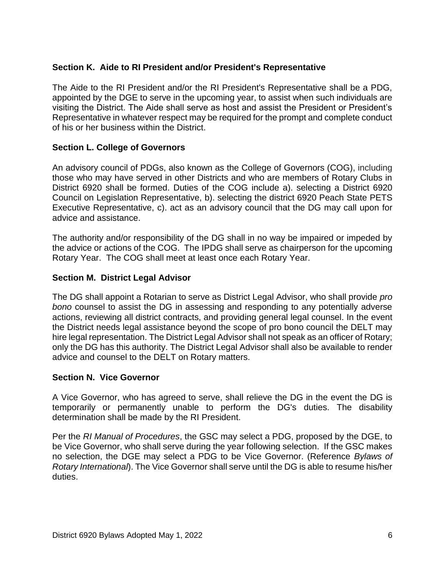## **Section K. Aide to RI President and/or President's Representative**

The Aide to the RI President and/or the RI President's Representative shall be a PDG, appointed by the DGE to serve in the upcoming year, to assist when such individuals are visiting the District. The Aide shall serve as host and assist the President or President's Representative in whatever respect may be required for the prompt and complete conduct of his or her business within the District.

## **Section L. College of Governors**

An advisory council of PDGs, also known as the College of Governors (COG), including those who may have served in other Districts and who are members of Rotary Clubs in District 6920 shall be formed. Duties of the COG include a). selecting a District 6920 Council on Legislation Representative, b). selecting the district 6920 Peach State PETS Executive Representative, c). act as an advisory council that the DG may call upon for advice and assistance.

The authority and/or responsibility of the DG shall in no way be impaired or impeded by the advice or actions of the COG. The IPDG shall serve as chairperson for the upcoming Rotary Year. The COG shall meet at least once each Rotary Year.

## **Section M. District Legal Advisor**

The DG shall appoint a Rotarian to serve as District Legal Advisor, who shall provide *pro bono* counsel to assist the DG in assessing and responding to any potentially adverse actions, reviewing all district contracts, and providing general legal counsel. In the event the District needs legal assistance beyond the scope of pro bono council the DELT may hire legal representation. The District Legal Advisor shall not speak as an officer of Rotary; only the DG has this authority. The District Legal Advisor shall also be available to render advice and counsel to the DELT on Rotary matters.

## **Section N. Vice Governor**

A Vice Governor, who has agreed to serve, shall relieve the DG in the event the DG is temporarily or permanently unable to perform the DG's duties. The disability determination shall be made by the RI President.

Per the *RI Manual of Procedures*, the GSC may select a PDG, proposed by the DGE, to be Vice Governor, who shall serve during the year following selection. If the GSC makes no selection, the DGE may select a PDG to be Vice Governor. (Reference *Bylaws of Rotary International*). The Vice Governor shall serve until the DG is able to resume his/her duties.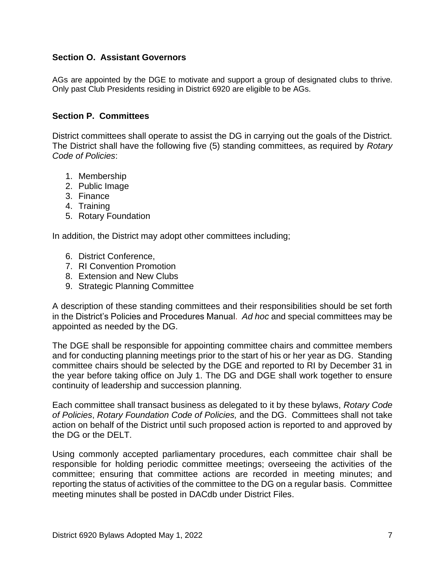## **Section O. Assistant Governors**

AGs are appointed by the DGE to motivate and support a group of designated clubs to thrive. Only past Club Presidents residing in District 6920 are eligible to be AGs.

## **Section P. Committees**

District committees shall operate to assist the DG in carrying out the goals of the District. The District shall have the following five (5) standing committees, as required by *Rotary Code of Policies*:

- 1. Membership
- 2. Public Image
- 3. Finance
- 4. Training
- 5. Rotary Foundation

In addition, the District may adopt other committees including;

- 6. District Conference,
- 7. RI Convention Promotion
- 8. Extension and New Clubs
- 9. Strategic Planning Committee

A description of these standing committees and their responsibilities should be set forth in the District's Policies and Procedures Manual. *Ad hoc* and special committees may be appointed as needed by the DG.

The DGE shall be responsible for appointing committee chairs and committee members and for conducting planning meetings prior to the start of his or her year as DG. Standing committee chairs should be selected by the DGE and reported to RI by December 31 in the year before taking office on July 1. The DG and DGE shall work together to ensure continuity of leadership and succession planning.

Each committee shall transact business as delegated to it by these bylaws, *Rotary Code of Policies*, *Rotary Foundation Code of Policies,* and the DG. Committees shall not take action on behalf of the District until such proposed action is reported to and approved by the DG or the DELT.

Using commonly accepted parliamentary procedures, each committee chair shall be responsible for holding periodic committee meetings; overseeing the activities of the committee; ensuring that committee actions are recorded in meeting minutes; and reporting the status of activities of the committee to the DG on a regular basis. Committee meeting minutes shall be posted in DACdb under District Files.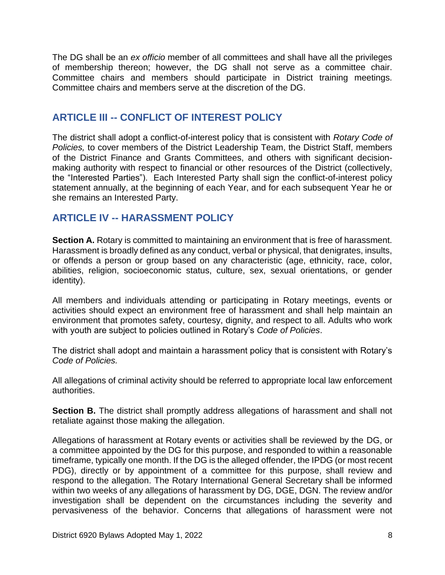The DG shall be an *ex officio* member of all committees and shall have all the privileges of membership thereon; however, the DG shall not serve as a committee chair. Committee chairs and members should participate in District training meetings. Committee chairs and members serve at the discretion of the DG.

# **ARTICLE III -- CONFLICT OF INTEREST POLICY**

The district shall adopt a conflict-of-interest policy that is consistent with *Rotary Code of Policies,* to cover members of the District Leadership Team, the District Staff, members of the District Finance and Grants Committees, and others with significant decisionmaking authority with respect to financial or other resources of the District (collectively, the "Interested Parties"). Each Interested Party shall sign the conflict-of-interest policy statement annually, at the beginning of each Year, and for each subsequent Year he or she remains an Interested Party.

# **ARTICLE IV -- HARASSMENT POLICY**

**Section A.** Rotary is committed to maintaining an environment that is free of harassment. Harassment is broadly defined as any conduct, verbal or physical, that denigrates, insults, or offends a person or group based on any characteristic (age, ethnicity, race, color, abilities, religion, socioeconomic status, culture, sex, sexual orientations, or gender identity).

All members and individuals attending or participating in Rotary meetings, events or activities should expect an environment free of harassment and shall help maintain an environment that promotes safety, courtesy, dignity, and respect to all. Adults who work with youth are subject to policies outlined in Rotary's *Code of Policies*.

The district shall adopt and maintain a harassment policy that is consistent with Rotary's *Code of Policies.*

All allegations of criminal activity should be referred to appropriate local law enforcement authorities.

**Section B.** The district shall promptly address allegations of harassment and shall not retaliate against those making the allegation.

Allegations of harassment at Rotary events or activities shall be reviewed by the DG, or a committee appointed by the DG for this purpose, and responded to within a reasonable timeframe, typically one month. If the DG is the alleged offender, the IPDG (or most recent PDG), directly or by appointment of a committee for this purpose, shall review and respond to the allegation. The Rotary International General Secretary shall be informed within two weeks of any allegations of harassment by DG, DGE, DGN. The review and/or investigation shall be dependent on the circumstances including the severity and pervasiveness of the behavior. Concerns that allegations of harassment were not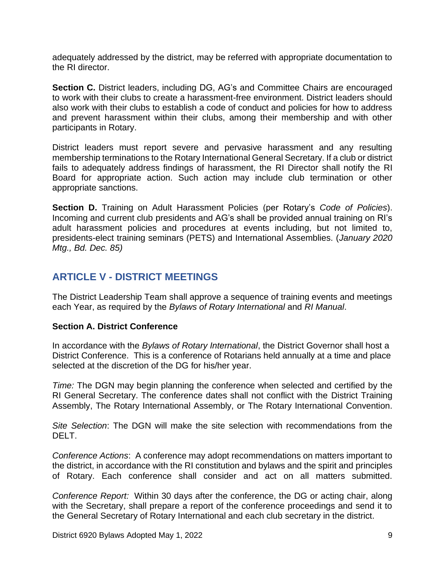adequately addressed by the district, may be referred with appropriate documentation to the RI director.

**Section C.** District leaders, including DG, AG's and Committee Chairs are encouraged to work with their clubs to create a harassment-free environment. District leaders should also work with their clubs to establish a code of conduct and policies for how to address and prevent harassment within their clubs, among their membership and with other participants in Rotary.

District leaders must report severe and pervasive harassment and any resulting membership terminations to the Rotary International General Secretary. If a club or district fails to adequately address findings of harassment, the RI Director shall notify the RI Board for appropriate action. Such action may include club termination or other appropriate sanctions.

**Section D.** Training on Adult Harassment Policies (per Rotary's *Code of Policies*). Incoming and current club presidents and AG's shall be provided annual training on RI's adult harassment policies and procedures at events including, but not limited to, presidents-elect training seminars (PETS) and International Assemblies. (*January 2020 Mtg., Bd. Dec. 85)* 

# **ARTICLE V - DISTRICT MEETINGS**

The District Leadership Team shall approve a sequence of training events and meetings each Year, as required by the *Bylaws of Rotary International* and *RI Manual*.

## **Section A. District Conference**

In accordance with the *Bylaws of Rotary International*, the District Governor shall host a District Conference. This is a conference of Rotarians held annually at a time and place selected at the discretion of the DG for his/her year.

*Time:* The DGN may begin planning the conference when selected and certified by the RI General Secretary. The conference dates shall not conflict with the District Training Assembly, The Rotary International Assembly, or The Rotary International Convention.

*Site Selection*: The DGN will make the site selection with recommendations from the DELT.

*Conference Actions*: A conference may adopt recommendations on matters important to the district, in accordance with the RI constitution and bylaws and the spirit and principles of Rotary. Each conference shall consider and act on all matters submitted.

*Conference Report:* Within 30 days after the conference, the DG or acting chair, along with the Secretary, shall prepare a report of the conference proceedings and send it to the General Secretary of Rotary International and each club secretary in the district.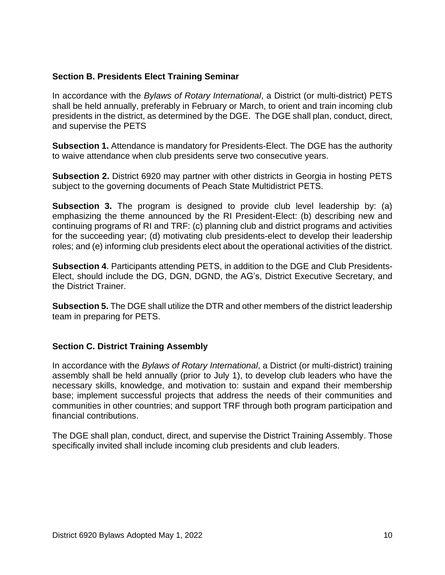## **Section B. Presidents Elect Training Seminar**

In accordance with the *Bylaws of Rotary International*, a District (or multi-district) PETS shall be held annually, preferably in February or March, to orient and train incoming club presidents in the district, as determined by the DGE. The DGE shall plan, conduct, direct, and supervise the PETS

**Subsection 1.** Attendance is mandatory for Presidents-Elect. The DGE has the authority to waive attendance when club presidents serve two consecutive years.

**Subsection 2.** District 6920 may partner with other districts in Georgia in hosting PETS subject to the governing documents of Peach State Multidistrict PETS.

**Subsection 3.** The program is designed to provide club level leadership by: (a) emphasizing the theme announced by the RI President-Elect: (b) describing new and continuing programs of RI and TRF: (c) planning club and district programs and activities for the succeeding year; (d) motivating club presidents-elect to develop their leadership roles; and (e) informing club presidents elect about the operational activities of the district.

**Subsection 4**. Participants attending PETS, in addition to the DGE and Club Presidents-Elect, should include the DG, DGN, DGND, the AG's, District Executive Secretary, and the District Trainer.

**Subsection 5.** The DGE shall utilize the DTR and other members of the district leadership team in preparing for PETS.

## **Section C. District Training Assembly**

In accordance with the *Bylaws of Rotary International*, a District (or multi-district) training assembly shall be held annually (prior to July 1), to develop club leaders who have the necessary skills, knowledge, and motivation to: sustain and expand their membership base; implement successful projects that address the needs of their communities and communities in other countries; and support TRF through both program participation and financial contributions.

The DGE shall plan, conduct, direct, and supervise the District Training Assembly. Those specifically invited shall include incoming club presidents and club leaders.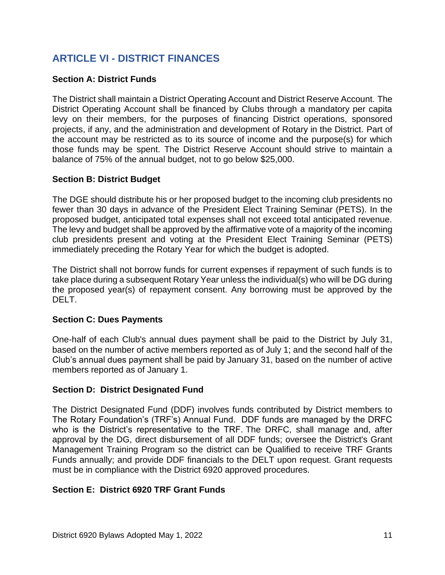# **ARTICLE VI - DISTRICT FINANCES**

## **Section A: District Funds**

The District shall maintain a District Operating Account and District Reserve Account. The District Operating Account shall be financed by Clubs through a mandatory per capita levy on their members, for the purposes of financing District operations, sponsored projects, if any, and the administration and development of Rotary in the District. Part of the account may be restricted as to its source of income and the purpose(s) for which those funds may be spent. The District Reserve Account should strive to maintain a balance of 75% of the annual budget, not to go below \$25,000.

## **Section B: District Budget**

The DGE should distribute his or her proposed budget to the incoming club presidents no fewer than 30 days in advance of the President Elect Training Seminar (PETS). In the proposed budget, anticipated total expenses shall not exceed total anticipated revenue. The levy and budget shall be approved by the affirmative vote of a majority of the incoming club presidents present and voting at the President Elect Training Seminar (PETS) immediately preceding the Rotary Year for which the budget is adopted.

The District shall not borrow funds for current expenses if repayment of such funds is to take place during a subsequent Rotary Year unless the individual(s) who will be DG during the proposed year(s) of repayment consent. Any borrowing must be approved by the DELT.

## **Section C: Dues Payments**

One-half of each Club's annual dues payment shall be paid to the District by July 31, based on the number of active members reported as of July 1; and the second half of the Club's annual dues payment shall be paid by January 31, based on the number of active members reported as of January 1.

## **Section D: District Designated Fund**

The District Designated Fund (DDF) involves funds contributed by District members to The Rotary Foundation's (TRF's) Annual Fund. DDF funds are managed by the DRFC who is the District's representative to the TRF. The DRFC, shall manage and, after approval by the DG, direct disbursement of all DDF funds; oversee the District's Grant Management Training Program so the district can be Qualified to receive TRF Grants Funds annually; and provide DDF financials to the DELT upon request. Grant requests must be in compliance with the District 6920 approved procedures.

## **Section E: District 6920 TRF Grant Funds**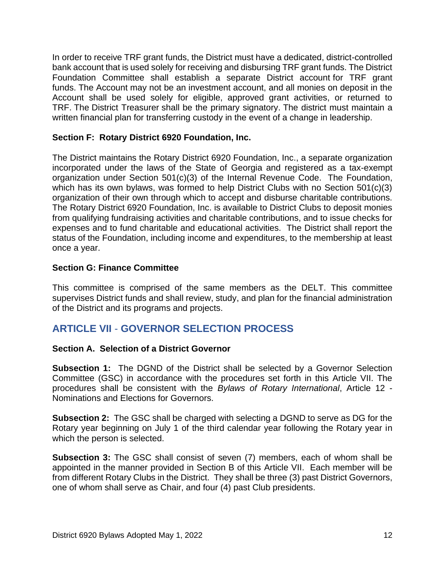In order to receive TRF grant funds, the District must have a dedicated, district-controlled bank account that is used solely for receiving and disbursing TRF grant funds. The District Foundation Committee shall establish a separate District account for TRF grant funds. The Account may not be an investment account, and all monies on deposit in the Account shall be used solely for eligible, approved grant activities, or returned to TRF. The District Treasurer shall be the primary signatory. The district must maintain a written financial plan for transferring custody in the event of a change in leadership.

## **Section F: Rotary District 6920 Foundation, Inc.**

The District maintains the Rotary District 6920 Foundation, Inc., a separate organization incorporated under the laws of the State of Georgia and registered as a tax-exempt organization under Section 501(c)(3) of the Internal Revenue Code. The Foundation, which has its own bylaws, was formed to help District Clubs with no Section 501(c)(3) organization of their own through which to accept and disburse charitable contributions. The Rotary District 6920 Foundation, Inc. is available to District Clubs to deposit monies from qualifying fundraising activities and charitable contributions, and to issue checks for expenses and to fund charitable and educational activities. The District shall report the status of the Foundation, including income and expenditures, to the membership at least once a year.

## **Section G: Finance Committee**

This committee is comprised of the same members as the DELT. This committee supervises District funds and shall review, study, and plan for the financial administration of the District and its programs and projects.

# **ARTICLE VII** - **GOVERNOR SELECTION PROCESS**

## **Section A. Selection of a District Governor**

**Subsection 1:** The DGND of the District shall be selected by a Governor Selection Committee (GSC) in accordance with the procedures set forth in this Article VII. The procedures shall be consistent with the *Bylaws of Rotary International*, Article 12 - Nominations and Elections for Governors.

**Subsection 2:** The GSC shall be charged with selecting a DGND to serve as DG for the Rotary year beginning on July 1 of the third calendar year following the Rotary year in which the person is selected.

**Subsection 3:** The GSC shall consist of seven (7) members, each of whom shall be appointed in the manner provided in Section B of this Article VII. Each member will be from different Rotary Clubs in the District. They shall be three (3) past District Governors, one of whom shall serve as Chair, and four (4) past Club presidents.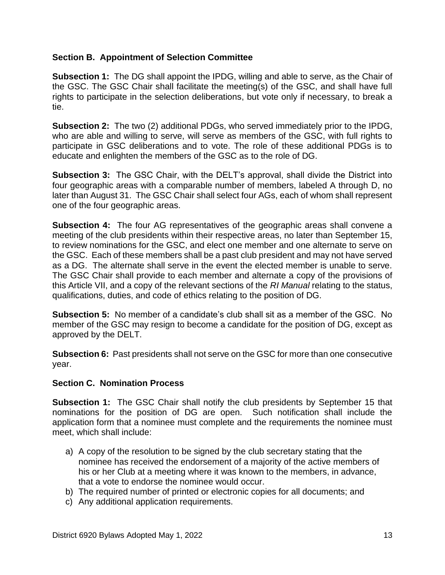## **Section B. Appointment of Selection Committee**

**Subsection 1:** The DG shall appoint the IPDG, willing and able to serve, as the Chair of the GSC. The GSC Chair shall facilitate the meeting(s) of the GSC, and shall have full rights to participate in the selection deliberations, but vote only if necessary, to break a tie.

**Subsection 2:** The two (2) additional PDGs, who served immediately prior to the IPDG, who are able and willing to serve, will serve as members of the GSC, with full rights to participate in GSC deliberations and to vote. The role of these additional PDGs is to educate and enlighten the members of the GSC as to the role of DG.

**Subsection 3:** The GSC Chair, with the DELT's approval, shall divide the District into four geographic areas with a comparable number of members, labeled A through D, no later than August 31. The GSC Chair shall select four AGs, each of whom shall represent one of the four geographic areas.

**Subsection 4:** The four AG representatives of the geographic areas shall convene a meeting of the club presidents within their respective areas, no later than September 15, to review nominations for the GSC, and elect one member and one alternate to serve on the GSC. Each of these members shall be a past club president and may not have served as a DG. The alternate shall serve in the event the elected member is unable to serve. The GSC Chair shall provide to each member and alternate a copy of the provisions of this Article VII, and a copy of the relevant sections of the *RI Manual* relating to the status, qualifications, duties, and code of ethics relating to the position of DG.

**Subsection 5:** No member of a candidate's club shall sit as a member of the GSC. No member of the GSC may resign to become a candidate for the position of DG, except as approved by the DELT.

**Subsection 6:** Past presidents shall not serve on the GSC for more than one consecutive year.

## **Section C. Nomination Process**

**Subsection 1:** The GSC Chair shall notify the club presidents by September 15 that nominations for the position of DG are open. Such notification shall include the application form that a nominee must complete and the requirements the nominee must meet, which shall include:

- a) A copy of the resolution to be signed by the club secretary stating that the nominee has received the endorsement of a majority of the active members of his or her Club at a meeting where it was known to the members, in advance, that a vote to endorse the nominee would occur.
- b) The required number of printed or electronic copies for all documents; and
- c) Any additional application requirements.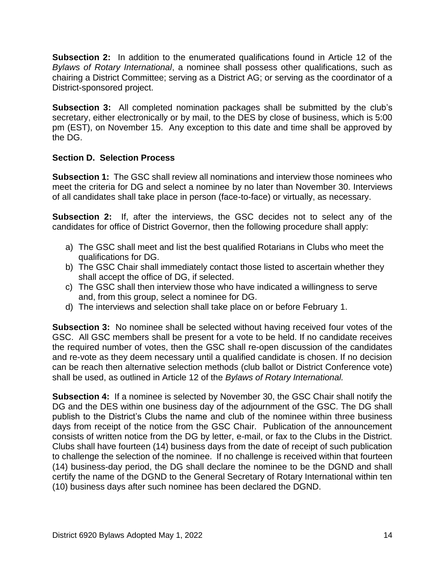**Subsection 2:** In addition to the enumerated qualifications found in Article 12 of the *Bylaws of Rotary International*, a nominee shall possess other qualifications, such as chairing a District Committee; serving as a District AG; or serving as the coordinator of a District-sponsored project.

**Subsection 3:** All completed nomination packages shall be submitted by the club's secretary, either electronically or by mail, to the DES by close of business, which is 5:00 pm (EST), on November 15. Any exception to this date and time shall be approved by the DG.

## **Section D. Selection Process**

**Subsection 1:** The GSC shall review all nominations and interview those nominees who meet the criteria for DG and select a nominee by no later than November 30. Interviews of all candidates shall take place in person (face-to-face) or virtually, as necessary.

**Subsection 2:** If, after the interviews, the GSC decides not to select any of the candidates for office of District Governor, then the following procedure shall apply:

- a) The GSC shall meet and list the best qualified Rotarians in Clubs who meet the qualifications for DG.
- b) The GSC Chair shall immediately contact those listed to ascertain whether they shall accept the office of DG, if selected.
- c) The GSC shall then interview those who have indicated a willingness to serve and, from this group, select a nominee for DG.
- d) The interviews and selection shall take place on or before February 1.

**Subsection 3:** No nominee shall be selected without having received four votes of the GSC. All GSC members shall be present for a vote to be held. If no candidate receives the required number of votes, then the GSC shall re-open discussion of the candidates and re-vote as they deem necessary until a qualified candidate is chosen. If no decision can be reach then alternative selection methods (club ballot or District Conference vote) shall be used, as outlined in Article 12 of the *Bylaws of Rotary International.*

**Subsection 4:** If a nominee is selected by November 30, the GSC Chair shall notify the DG and the DES within one business day of the adjournment of the GSC. The DG shall publish to the District's Clubs the name and club of the nominee within three business days from receipt of the notice from the GSC Chair. Publication of the announcement consists of written notice from the DG by letter, e-mail, or fax to the Clubs in the District. Clubs shall have fourteen (14) business days from the date of receipt of such publication to challenge the selection of the nominee. If no challenge is received within that fourteen (14) business-day period, the DG shall declare the nominee to be the DGND and shall certify the name of the DGND to the General Secretary of Rotary International within ten (10) business days after such nominee has been declared the DGND.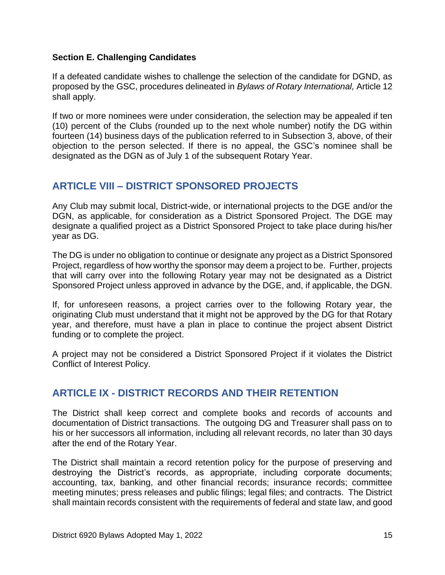## **Section E. Challenging Candidates**

If a defeated candidate wishes to challenge the selection of the candidate for DGND, as proposed by the GSC, procedures delineated in *Bylaws of Rotary International,* Article 12 shall apply.

If two or more nominees were under consideration, the selection may be appealed if ten (10) percent of the Clubs (rounded up to the next whole number) notify the DG within fourteen (14) business days of the publication referred to in Subsection 3, above, of their objection to the person selected. If there is no appeal, the GSC's nominee shall be designated as the DGN as of July 1 of the subsequent Rotary Year.

# **ARTICLE VIII – DISTRICT SPONSORED PROJECTS**

Any Club may submit local, District-wide, or international projects to the DGE and/or the DGN, as applicable, for consideration as a District Sponsored Project. The DGE may designate a qualified project as a District Sponsored Project to take place during his/her year as DG.

The DG is under no obligation to continue or designate any project as a District Sponsored Project, regardless of how worthy the sponsor may deem a project to be. Further, projects that will carry over into the following Rotary year may not be designated as a District Sponsored Project unless approved in advance by the DGE, and, if applicable, the DGN.

If, for unforeseen reasons, a project carries over to the following Rotary year, the originating Club must understand that it might not be approved by the DG for that Rotary year, and therefore, must have a plan in place to continue the project absent District funding or to complete the project.

A project may not be considered a District Sponsored Project if it violates the District Conflict of Interest Policy.

# **ARTICLE IX - DISTRICT RECORDS AND THEIR RETENTION**

The District shall keep correct and complete books and records of accounts and documentation of District transactions. The outgoing DG and Treasurer shall pass on to his or her successors all information, including all relevant records, no later than 30 days after the end of the Rotary Year.

The District shall maintain a record retention policy for the purpose of preserving and destroying the District's records, as appropriate, including corporate documents; accounting, tax, banking, and other financial records; insurance records; committee meeting minutes; press releases and public filings; legal files; and contracts. The District shall maintain records consistent with the requirements of federal and state law, and good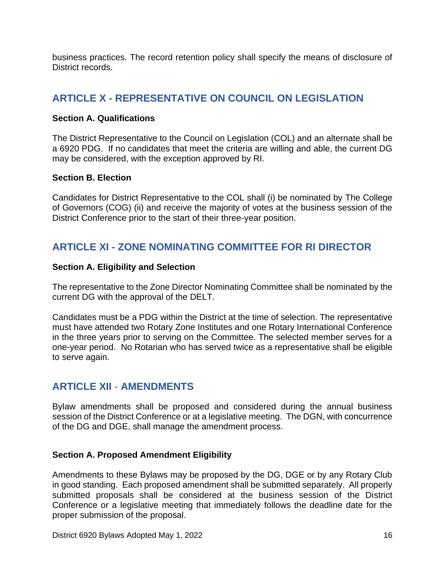business practices. The record retention policy shall specify the means of disclosure of District records.

# **ARTICLE X - REPRESENTATIVE ON COUNCIL ON LEGISLATION**

#### **Section A. Qualifications**

The District Representative to the Council on Legislation (COL) and an alternate shall be a 6920 PDG. If no candidates that meet the criteria are willing and able, the current DG may be considered, with the exception approved by RI.

#### **Section B. Election**

Candidates for District Representative to the COL shall (i) be nominated by The College of Governors (COG) (ii) and receive the majority of votes at the business session of the District Conference prior to the start of their three-year position.

# **ARTICLE XI - ZONE NOMINATING COMMITTEE FOR RI DIRECTOR**

#### **Section A. Eligibility and Selection**

The representative to the Zone Director Nominating Committee shall be nominated by the current DG with the approval of the DELT.

Candidates must be a PDG within the District at the time of selection. The representative must have attended two Rotary Zone Institutes and one Rotary International Conference in the three years prior to serving on the Committee. The selected member serves for a one-year period. No Rotarian who has served twice as a representative shall be eligible to serve again.

## **ARTICLE XII** - **AMENDMENTS**

Bylaw amendments shall be proposed and considered during the annual business session of the District Conference or at a legislative meeting. The DGN, with concurrence of the DG and DGE, shall manage the amendment process.

## **Section A. Proposed Amendment Eligibility**

Amendments to these Bylaws may be proposed by the DG, DGE or by any Rotary Club in good standing. Each proposed amendment shall be submitted separately. All properly submitted proposals shall be considered at the business session of the District Conference or a legislative meeting that immediately follows the deadline date for the proper submission of the proposal.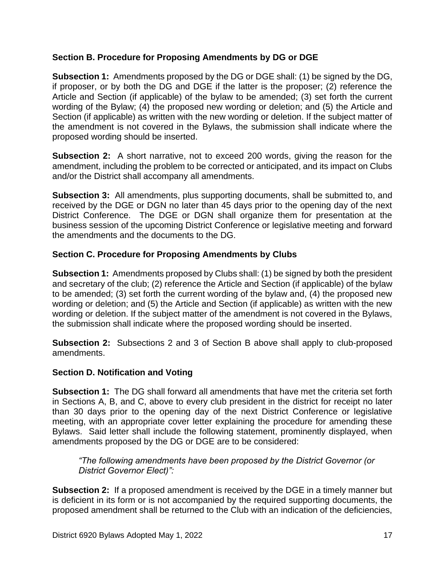## **Section B. Procedure for Proposing Amendments by DG or DGE**

**Subsection 1:** Amendments proposed by the DG or DGE shall: (1) be signed by the DG, if proposer, or by both the DG and DGE if the latter is the proposer; (2) reference the Article and Section (if applicable) of the bylaw to be amended; (3) set forth the current wording of the Bylaw; (4) the proposed new wording or deletion; and (5) the Article and Section (if applicable) as written with the new wording or deletion. If the subject matter of the amendment is not covered in the Bylaws, the submission shall indicate where the proposed wording should be inserted.

**Subsection 2:** A short narrative, not to exceed 200 words, giving the reason for the amendment, including the problem to be corrected or anticipated, and its impact on Clubs and/or the District shall accompany all amendments.

**Subsection 3:** All amendments, plus supporting documents, shall be submitted to, and received by the DGE or DGN no later than 45 days prior to the opening day of the next District Conference. The DGE or DGN shall organize them for presentation at the business session of the upcoming District Conference or legislative meeting and forward the amendments and the documents to the DG.

## **Section C. Procedure for Proposing Amendments by Clubs**

**Subsection 1:** Amendments proposed by Clubs shall: (1) be signed by both the president and secretary of the club; (2) reference the Article and Section (if applicable) of the bylaw to be amended; (3) set forth the current wording of the bylaw and, (4) the proposed new wording or deletion; and (5) the Article and Section (if applicable) as written with the new wording or deletion. If the subject matter of the amendment is not covered in the Bylaws, the submission shall indicate where the proposed wording should be inserted.

**Subsection 2:** Subsections 2 and 3 of Section B above shall apply to club-proposed amendments.

## **Section D. Notification and Voting**

**Subsection 1:** The DG shall forward all amendments that have met the criteria set forth in Sections A, B, and C, above to every club president in the district for receipt no later than 30 days prior to the opening day of the next District Conference or legislative meeting, with an appropriate cover letter explaining the procedure for amending these Bylaws. Said letter shall include the following statement, prominently displayed, when amendments proposed by the DG or DGE are to be considered:

*"The following amendments have been proposed by the District Governor (or District Governor Elect)":* 

**Subsection 2:** If a proposed amendment is received by the DGE in a timely manner but is deficient in its form or is not accompanied by the required supporting documents, the proposed amendment shall be returned to the Club with an indication of the deficiencies,